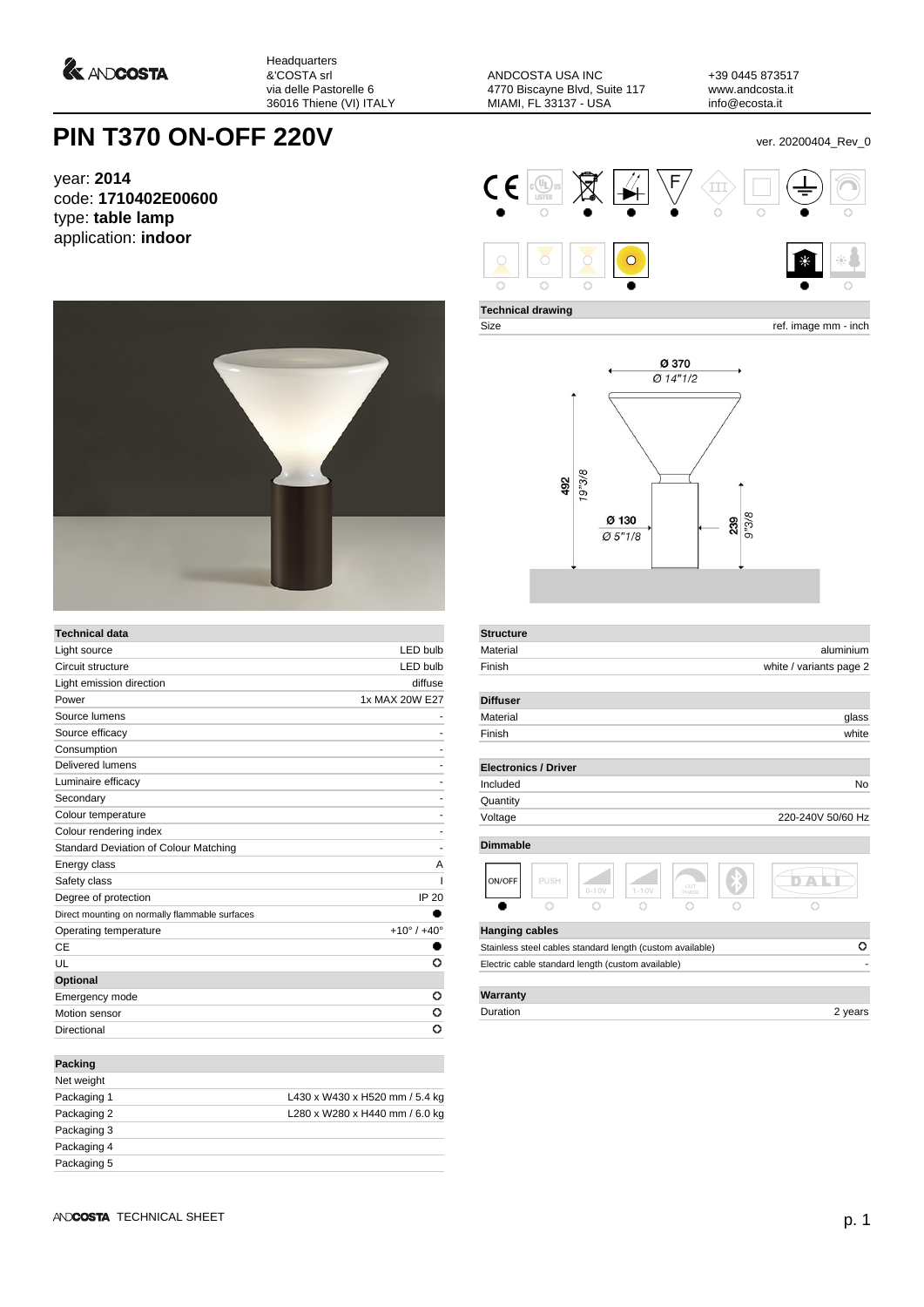*<u>A ANDCOSTA</u>* 

Headquarters &'COSTA srl via delle Pastorelle 6 36016 Thiene (VI) ITALY

ANDCOSTA USA INC 4770 Biscayne Blvd, Suite 117 MIAMI, FL 33137 - USA

+39 0445 873517 www.andcosta.it info@ecosta.it

## **PIN T370 ON-OFF 220V** ver. 20200404\_Rev\_0

year: **2014** code: **1710402E00600** type: **table lamp** application: **indoor**



| <b>Technical data</b>                          |                               |
|------------------------------------------------|-------------------------------|
| Light source                                   | <b>LED bulb</b>               |
| Circuit structure                              | <b>LED bulb</b>               |
| Light emission direction                       | diffuse                       |
| Power                                          | 1x MAX 20W E27                |
| Source lumens                                  |                               |
| Source efficacy                                |                               |
| Consumption                                    |                               |
| Delivered lumens                               |                               |
| Luminaire efficacy                             |                               |
| Secondary                                      |                               |
| Colour temperature                             |                               |
| Colour rendering index                         |                               |
| Standard Deviation of Colour Matching          | ۰                             |
| Energy class                                   | A                             |
| Safety class                                   |                               |
| Degree of protection                           | <b>IP 20</b>                  |
| Direct mounting on normally flammable surfaces |                               |
| Operating temperature                          | $+10^{\circ}$ / $+40^{\circ}$ |
| CE                                             |                               |
| UL                                             | O                             |
| Optional                                       |                               |
| Emergency mode                                 | O                             |
| Motion sensor                                  | o                             |
| Directional                                    | O                             |
| <b>Packing</b>                                 |                               |
| Net weight                                     |                               |

| .           |                                |
|-------------|--------------------------------|
| Packaging 1 | L430 x W430 x H520 mm / 5.4 kg |
| Packaging 2 | L280 x W280 x H440 mm / 6.0 kg |
| Packaging 3 |                                |
| Packaging 4 |                                |
| Packaging 5 |                                |
|             |                                |



**Technical drawing**

**Structure**

Size ref. image mm - inch



| Material              |                                                           |           |           |              | aluminium               |
|-----------------------|-----------------------------------------------------------|-----------|-----------|--------------|-------------------------|
| Finish                |                                                           |           |           |              | white / variants page 2 |
| <b>Diffuser</b>       |                                                           |           |           |              |                         |
| Material              |                                                           |           |           |              | glass                   |
| Finish                |                                                           |           |           |              | white                   |
|                       | <b>Electronics / Driver</b>                               |           |           |              |                         |
| Included              |                                                           |           |           |              | No                      |
| Quantity              |                                                           |           |           |              |                         |
| Voltage               |                                                           |           |           |              | 220-240V 50/60 Hz       |
| <b>Dimmable</b>       |                                                           |           |           |              |                         |
| ON/OFF                | PUSH                                                      | $0 - 10V$ | $1 - 10V$ | CUT<br>PHASE |                         |
|                       |                                                           |           |           |              |                         |
| <b>Hanging cables</b> |                                                           |           |           |              |                         |
|                       | Stainless steel cables standard length (custom available) |           |           |              | o                       |
|                       | Electric cable standard length (custom available)         |           |           |              |                         |
|                       |                                                           |           |           |              |                         |
| Warranty              |                                                           |           |           |              |                         |

Duration 2 years 2 years 2 years 2 years 2 years 2 years 2 years 2 years 2 years 2 years 2 years 2 years 2 years 2 years 2 years 2 years 2 years 2 years 2 years 2 years 2 years 2 years 2 years 2 years 2 years 2 years 2 yea